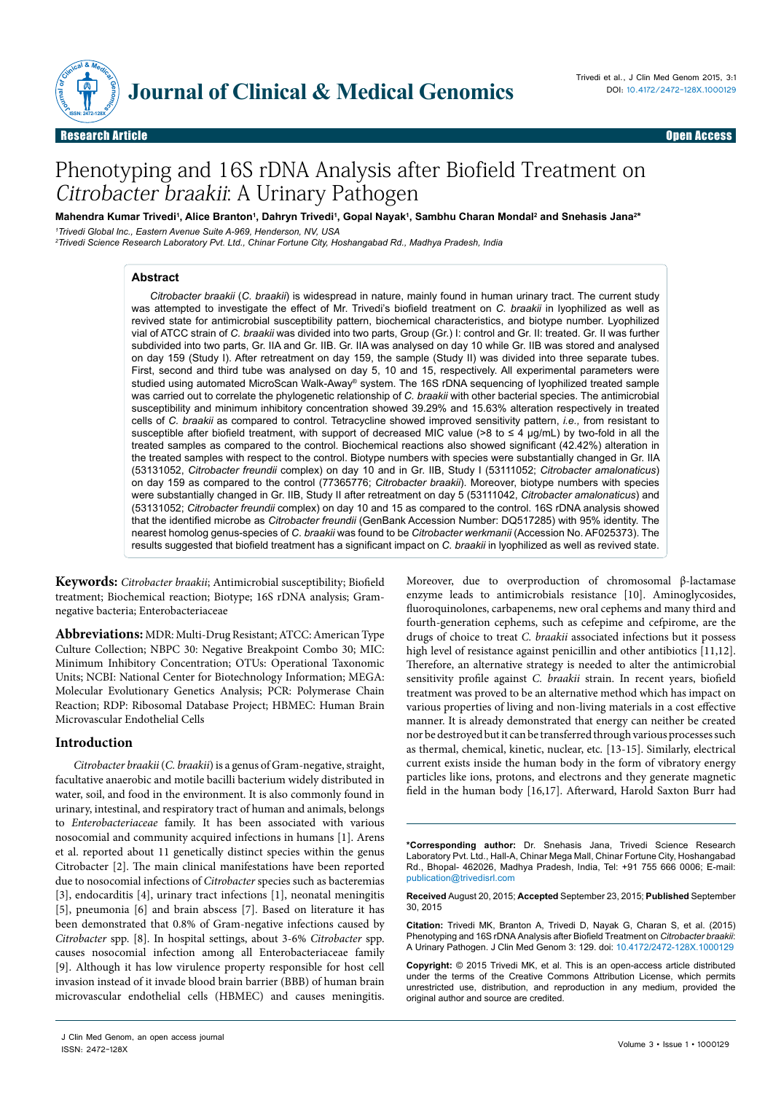

Research Article Open Access

# Phenotyping and 16S rDNA Analysis after Biofield Treatment on Citrobacter braakii: A Urinary Pathogen

Mahendra Kumar Trivedi', Alice Branton', Dahryn Trivedi', Gopal Nayak', Sambhu Charan Mondal<sup>2</sup> and Snehasis Jana<sup>2</sup>\*

*1 Trivedi Global Inc., Eastern Avenue Suite A-969, Henderson, NV, USA* 

*2 Trivedi Science Research Laboratory Pvt. Ltd., Chinar Fortune City, Hoshangabad Rd., Madhya Pradesh, India*

#### **Abstract**

*Citrobacter braakii* (*C. braakii*) is widespread in nature, mainly found in human urinary tract. The current study was attempted to investigate the effect of Mr. Trivedi's biofield treatment on *C. braakii* in lyophilized as well as revived state for antimicrobial susceptibility pattern, biochemical characteristics, and biotype number. Lyophilized vial of ATCC strain of *C. braakii* was divided into two parts, Group (Gr.) I: control and Gr. II: treated. Gr. II was further subdivided into two parts, Gr. IIA and Gr. IIB. Gr. IIA was analysed on day 10 while Gr. IIB was stored and analysed on day 159 (Study I). After retreatment on day 159, the sample (Study II) was divided into three separate tubes. First, second and third tube was analysed on day 5, 10 and 15, respectively. All experimental parameters were studied using automated MicroScan Walk-Away® system. The 16S rDNA sequencing of lyophilized treated sample was carried out to correlate the phylogenetic relationship of *C. braakii* with other bacterial species. The antimicrobial susceptibility and minimum inhibitory concentration showed 39.29% and 15.63% alteration respectively in treated cells of *C. braakii* as compared to control. Tetracycline showed improved sensitivity pattern, *i.e.,* from resistant to susceptible after biofield treatment, with support of decreased MIC value (>8 to ≤ 4 µg/mL) by two-fold in all the treated samples as compared to the control. Biochemical reactions also showed significant (42.42%) alteration in the treated samples with respect to the control. Biotype numbers with species were substantially changed in Gr. IIA (53131052, *Citrobacter freundii* complex) on day 10 and in Gr. IIB, Study I (53111052; *Citrobacter amalonaticus*) on day 159 as compared to the control (77365776; *Citrobacter braakii*). Moreover, biotype numbers with species were substantially changed in Gr. IIB, Study II after retreatment on day 5 (53111042, *Citrobacter amalonaticus*) and (53131052; *Citrobacter freundii* complex) on day 10 and 15 as compared to the control. 16S rDNA analysis showed that the identified microbe as *Citrobacter freundii* (GenBank Accession Number: DQ517285) with 95% identity. The nearest homolog genus-species of *C. braakii* was found to be *Citrobacter werkmanii* (Accession No. AF025373). The results suggested that biofield treatment has a significant impact on *C. braakii* in lyophilized as well as revived state.

**Keywords:** *Citrobacter braakii*; Antimicrobial susceptibility; Biofield treatment; Biochemical reaction; Biotype; 16S rDNA analysis; Gramnegative bacteria; Enterobacteriaceae

**Abbreviations:** MDR: Multi-Drug Resistant;ATCC: American Type Culture Collection; NBPC 30: Negative Breakpoint Combo 30; MIC: Minimum Inhibitory Concentration; OTUs: Operational Taxonomic Units; NCBI: National Center for Biotechnology Information; MEGA: Molecular Evolutionary Genetics Analysis; PCR: Polymerase Chain Reaction; RDP: Ribosomal Database Project; HBMEC: Human Brain Microvascular Endothelial Cells

#### **Introduction**

*Citrobacter braakii* (*C. braakii*) is a genus of Gram-negative, straight, facultative anaerobic and motile bacilli bacterium widely distributed in water, soil, and food in the environment. It is also commonly found in urinary, intestinal, and respiratory tract of human and animals, belongs to *Enterobacteriaceae* family. It has been associated with various nosocomial and community acquired infections in humans [1]. Arens et al. reported about 11 genetically distinct species within the genus Citrobacter [2]. The main clinical manifestations have been reported due to nosocomial infections of *Citrobacter* species such as bacteremias [3], endocarditis [4], urinary tract infections [1], neonatal meningitis [5], pneumonia [6] and brain abscess [7]. Based on literature it has been demonstrated that 0.8% of Gram-negative infections caused by *Citrobacter* spp. [8]. In hospital settings, about 3-6% *Citrobacter* spp. causes nosocomial infection among all Enterobacteriaceae family [9]. Although it has low virulence property responsible for host cell invasion instead of it invade blood brain barrier (BBB) of human brain microvascular endothelial cells (HBMEC) and causes meningitis.

Moreover, due to overproduction of chromosomal β-lactamase enzyme leads to antimicrobials resistance [10]. Aminoglycosides, fluoroquinolones, carbapenems, new oral cephems and many third and fourth-generation cephems, such as cefepime and cefpirome, are the drugs of choice to treat *C. braakii* associated infections but it possess high level of resistance against penicillin and other antibiotics [11,12]. Therefore, an alternative strategy is needed to alter the antimicrobial sensitivity profile against *C. braakii* strain. In recent years, biofield treatment was proved to be an alternative method which has impact on various properties of living and non-living materials in a cost effective manner. It is already demonstrated that energy can neither be created nor be destroyed but it can be transferred through various processes such as thermal, chemical, kinetic, nuclear, etc*.* [13-15]. Similarly, electrical current exists inside the human body in the form of vibratory energy particles like ions, protons, and electrons and they generate magnetic field in the human body [16,17]. Afterward, Harold Saxton Burr had

**\*Corresponding author:** Dr. Snehasis Jana, Trivedi Science Research Laboratory Pvt. Ltd., Hall-A, Chinar Mega Mall, Chinar Fortune City, Hoshangabad Rd., Bhopal- 462026, Madhya Pradesh, India, Tel: +91 755 666 0006; E-mail: publication@trivedisrl.com

**Received** August 20, 2015; **Accepted** September 23, 2015; **Published** September 30, 2015

**Citation:** Trivedi MK, Branton A, Trivedi D, Nayak G, Charan S, et al. (2015) Phenotyping and 16S rDNA Analysis after Biofield Treatment on *Citrobacter braakii*: A Urinary Pathogen. J Clin Med Genom 3: 129. doi: 10.4172/2472-128X.1000129

**Copyright:** © 2015 Trivedi MK, et al. This is an open-access article distributed under the terms of the Creative Commons Attribution License, which permits unrestricted use, distribution, and reproduction in any medium, provided the original author and source are credited.

J Clin Med Genom, an open access journal ISSN: 2472-128X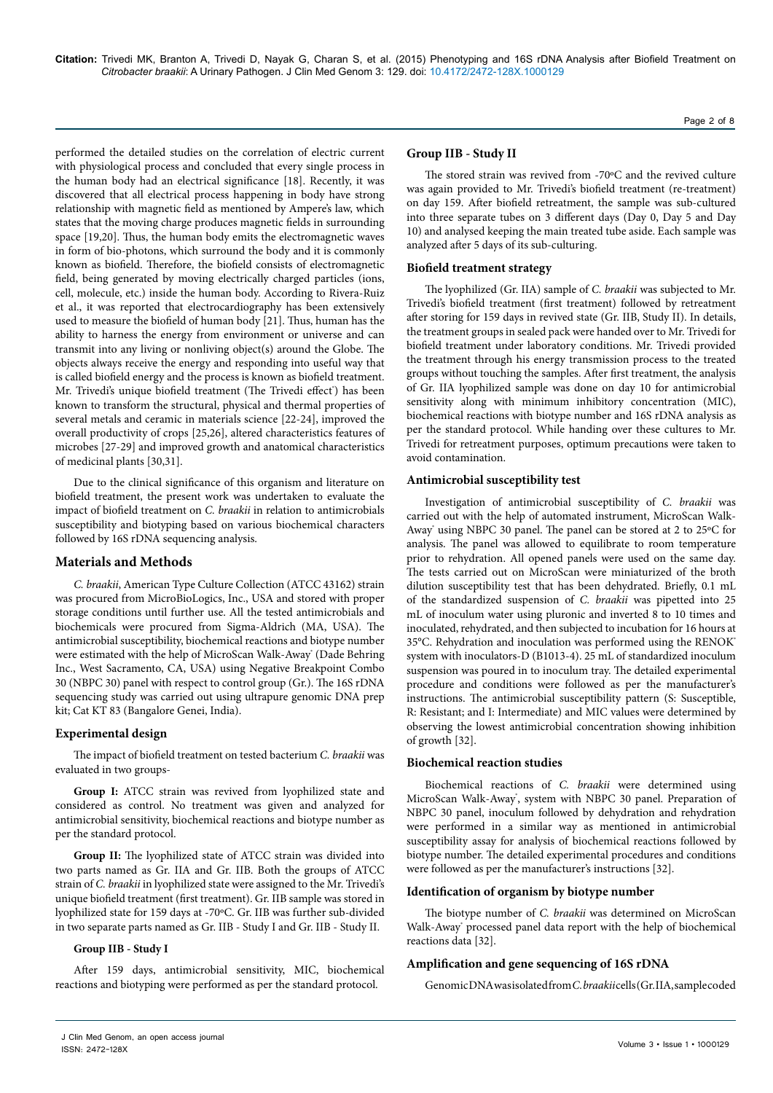performed the detailed studies on the correlation of electric current with physiological process and concluded that every single process in the human body had an electrical significance [18]. Recently, it was discovered that all electrical process happening in body have strong relationship with magnetic field as mentioned by Ampere's law, which states that the moving charge produces magnetic fields in surrounding space [19,20]. Thus, the human body emits the electromagnetic waves in form of bio-photons, which surround the body and it is commonly known as biofield. Therefore, the biofield consists of electromagnetic field, being generated by moving electrically charged particles (ions, cell, molecule, etc.) inside the human body. According to Rivera-Ruiz et al., it was reported that electrocardiography has been extensively used to measure the biofield of human body [21]. Thus, human has the ability to harness the energy from environment or universe and can transmit into any living or nonliving object(s) around the Globe. The objects always receive the energy and responding into useful way that is called biofield energy and the process is known as biofield treatment. Mr. Trivedi's unique biofield treatment (The Trivedi effect°) has been known to transform the structural, physical and thermal properties of several metals and ceramic in materials science [22-24], improved the overall productivity of crops [25,26], altered characteristics features of microbes [27-29] and improved growth and anatomical characteristics of medicinal plants [30,31].

Due to the clinical significance of this organism and literature on biofield treatment, the present work was undertaken to evaluate the impact of biofield treatment on *C. braakii* in relation to antimicrobials susceptibility and biotyping based on various biochemical characters followed by 16S rDNA sequencing analysis.

## **Materials and Methods**

*C. braakii*, American Type Culture Collection (ATCC 43162) strain was procured from MicroBioLogics, Inc., USA and stored with proper storage conditions until further use. All the tested antimicrobials and biochemicals were procured from Sigma-Aldrich (MA, USA). The antimicrobial susceptibility, biochemical reactions and biotype number were estimated with the help of MicroScan Walk-Away<sup>\*</sup> (Dade Behring Inc., West Sacramento, CA, USA) using Negative Breakpoint Combo 30 (NBPC 30) panel with respect to control group (Gr.). The 16S rDNA sequencing study was carried out using ultrapure genomic DNA prep kit; Cat KT 83 (Bangalore Genei, India).

## **Experimental design**

The impact of biofield treatment on tested bacterium *C. braakii* was evaluated in two groups-

**Group I:** ATCC strain was revived from lyophilized state and considered as control. No treatment was given and analyzed for antimicrobial sensitivity, biochemical reactions and biotype number as per the standard protocol.

**Group II:** The lyophilized state of ATCC strain was divided into two parts named as Gr. IIA and Gr. IIB. Both the groups of ATCC strain of *C. braakii* in lyophilized state were assigned to the Mr. Trivedi's unique biofield treatment (first treatment). Gr. IIB sample was stored in lyophilized state for 159 days at -70ºC. Gr. IIB was further sub-divided in two separate parts named as Gr. IIB - Study I and Gr. IIB - Study II.

#### **Group IIB - Study I**

After 159 days, antimicrobial sensitivity, MIC, biochemical reactions and biotyping were performed as per the standard protocol.

## **Group IIB - Study II**

The stored strain was revived from -70ºC and the revived culture was again provided to Mr. Trivedi's biofield treatment (re-treatment) on day 159. After biofield retreatment, the sample was sub-cultured into three separate tubes on 3 different days (Day 0, Day 5 and Day 10) and analysed keeping the main treated tube aside. Each sample was analyzed after 5 days of its sub-culturing.

## **Biofield treatment strategy**

The lyophilized (Gr. IIA) sample of *C. braakii* was subjected to Mr. Trivedi's biofield treatment (first treatment) followed by retreatment after storing for 159 days in revived state (Gr. IIB, Study II). In details, the treatment groups in sealed pack were handed over to Mr. Trivedi for biofield treatment under laboratory conditions. Mr. Trivedi provided the treatment through his energy transmission process to the treated groups without touching the samples. After first treatment, the analysis of Gr. IIA lyophilized sample was done on day 10 for antimicrobial sensitivity along with minimum inhibitory concentration (MIC), biochemical reactions with biotype number and 16S rDNA analysis as per the standard protocol. While handing over these cultures to Mr. Trivedi for retreatment purposes, optimum precautions were taken to avoid contamination.

## **Antimicrobial susceptibility test**

Investigation of antimicrobial susceptibility of *C. braakii* was carried out with the help of automated instrument, MicroScan Walk-Away' using NBPC 30 panel. The panel can be stored at 2 to 25°C for analysis. The panel was allowed to equilibrate to room temperature prior to rehydration. All opened panels were used on the same day. The tests carried out on MicroScan were miniaturized of the broth dilution susceptibility test that has been dehydrated. Briefly, 0.1 mL of the standardized suspension of *C. braakii* was pipetted into 25 mL of inoculum water using pluronic and inverted 8 to 10 times and inoculated, rehydrated, and then subjected to incubation for 16 hours at 35°C. Rehydration and inoculation was performed using the RENOK® system with inoculators-D (B1013-4). 25 mL of standardized inoculum suspension was poured in to inoculum tray. The detailed experimental procedure and conditions were followed as per the manufacturer's instructions. The antimicrobial susceptibility pattern (S: Susceptible, R: Resistant; and I: Intermediate) and MIC values were determined by observing the lowest antimicrobial concentration showing inhibition of growth [32].

## **Biochemical reaction studies**

Biochemical reactions of *C. braakii* were determined using MicroScan Walk-Away', system with NBPC 30 panel. Preparation of NBPC 30 panel, inoculum followed by dehydration and rehydration were performed in a similar way as mentioned in antimicrobial susceptibility assay for analysis of biochemical reactions followed by biotype number. The detailed experimental procedures and conditions were followed as per the manufacturer's instructions [32].

#### **Identification of organism by biotype number**

The biotype number of *C. braakii* was determined on MicroScan Walk-Away' processed panel data report with the help of biochemical reactions data [32].

#### **Amplification and gene sequencing of 16S rDNA**

Genomic DNA was isolated from *C. braakii* cells (Gr. IIA, sample coded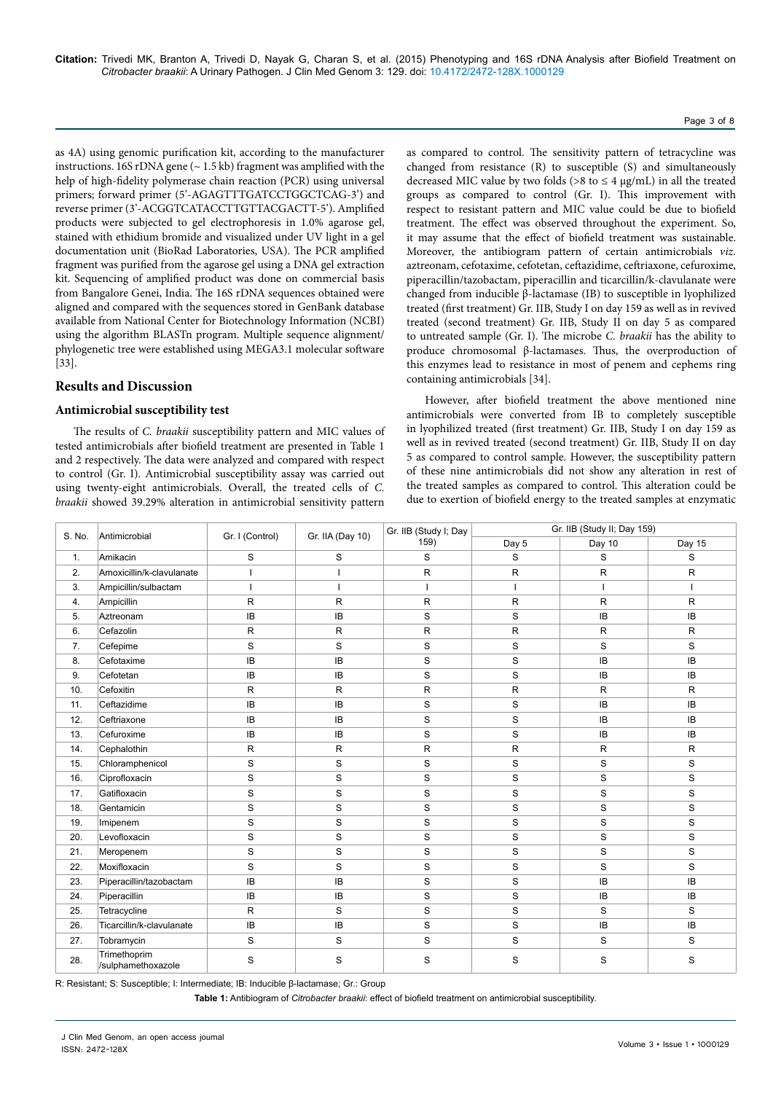Page 3 of 8

as 4A) using genomic purification kit, according to the manufacturer instructions. 16S rDNA gene  $(-1.5 \text{ kb})$  fragment was amplified with the help of high-fidelity polymerase chain reaction (PCR) using universal primers; forward primer (5'-AGAGTTTGATCCTGGCTCAG-3') and reverse primer (3'-ACGGTCATACCTTGTTACGACTT-5'). Amplified products were subjected to gel electrophoresis in 1.0% agarose gel, stained with ethidium bromide and visualized under UV light in a gel documentation unit (BioRad Laboratories, USA). The PCR amplified fragment was purified from the agarose gel using a DNA gel extraction kit. Sequencing of amplified product was done on commercial basis from Bangalore Genei, India. The 16S rDNA sequences obtained were aligned and compared with the sequences stored in GenBank database available from National Center for Biotechnology Information (NCBI) using the algorithm BLASTn program. Multiple sequence alignment/ phylogenetic tree were established using MEGA3.1 molecular software [33].

# **Results and Discussion**

## **Antimicrobial susceptibility test**

The results of *C. braakii* susceptibility pattern and MIC values of tested antimicrobials after biofield treatment are presented in Table 1 and 2 respectively. The data were analyzed and compared with respect to control (Gr. I). Antimicrobial susceptibility assay was carried out using twenty-eight antimicrobials. Overall, the treated cells of *C. braakii* showed 39.29% alteration in antimicrobial sensitivity pattern as compared to control. The sensitivity pattern of tetracycline was changed from resistance (R) to susceptible (S) and simultaneously decreased MIC value by two folds ( $>8$  to  $\leq 4 \mu$ g/mL) in all the treated groups as compared to control (Gr. I). This improvement with respect to resistant pattern and MIC value could be due to biofield treatment. The effect was observed throughout the experiment. So, it may assume that the effect of biofield treatment was sustainable. Moreover, the antibiogram pattern of certain antimicrobials *viz.* aztreonam, cefotaxime, cefotetan, ceftazidime, ceftriaxone, cefuroxime, piperacillin/tazobactam, piperacillin and ticarcillin/k-clavulanate were changed from inducible β-lactamase (IB) to susceptible in lyophilized treated (first treatment) Gr. IIB, Study I on day 159 as well as in revived treated (second treatment) Gr. IIB, Study II on day 5 as compared to untreated sample (Gr. I). The microbe *C. braakii* has the ability to produce chromosomal β-lactamases. Thus, the overproduction of this enzymes lead to resistance in most of penem and cephems ring containing antimicrobials [34].

However, after biofield treatment the above mentioned nine antimicrobials were converted from IB to completely susceptible in lyophilized treated (first treatment) Gr. IIB, Study I on day 159 as well as in revived treated (second treatment) Gr. IIB, Study II on day 5 as compared to control sample. However, the susceptibility pattern of these nine antimicrobials did not show any alteration in rest of the treated samples as compared to control. This alteration could be due to exertion of biofield energy to the treated samples at enzymatic

| S. No. | Antimicrobial                      | Gr. I (Control) | Gr. IIA (Day 10) | Gr. IIB (Study I; Day | Gr. IIB (Study II; Day 159) |              |              |  |  |
|--------|------------------------------------|-----------------|------------------|-----------------------|-----------------------------|--------------|--------------|--|--|
|        |                                    |                 |                  | 159)                  | Day 5                       | Day 10       | Day 15       |  |  |
| 1.     | Amikacin                           | S               | S                | S                     | S                           | S            | S            |  |  |
| 2.     | Amoxicillin/k-clavulanate          | ı               | $\mathbf{I}$     | $\mathsf{R}$          | $\mathsf{R}$                | $\mathsf{R}$ | R            |  |  |
| 3.     | Ampicillin/sulbactam               | J.              | L                |                       | I                           | $\mathbf{I}$ |              |  |  |
| 4.     | Ampicillin                         | $\mathsf{R}$    | R.               | R                     | $\mathsf R$                 | $\mathsf{R}$ | $\mathsf{R}$ |  |  |
| 5.     | Aztreonam                          | IB              | IB               | S                     | S                           | IB           | IB           |  |  |
| 6.     | Cefazolin                          | ${\sf R}$       | R                | R                     | $\mathsf R$                 | $\mathsf{R}$ | $\mathsf{R}$ |  |  |
| 7.     | Cefepime                           | S               | S                | S                     | S                           | S            | S            |  |  |
| 8.     | Cefotaxime                         | IB              | <b>IB</b>        | S                     | $\mathbf S$                 | IB           | IB           |  |  |
| 9.     | Cefotetan                          | <b>IB</b>       | <b>IB</b>        | S                     | S                           | IB           | <b>IB</b>    |  |  |
| 10.    | Cefoxitin                          | $\mathsf{R}$    | R                | $\mathsf R$           | ${\sf R}$                   | $\mathsf R$  | $\mathsf{R}$ |  |  |
| 11.    | Ceftazidime                        | IB              | IB               | S                     | $\mathbf S$                 | IB           | IB           |  |  |
| 12.    | Ceftriaxone                        | IB              | IB               | S                     | S                           | IB           | IB           |  |  |
| 13.    | Cefuroxime                         | <b>IB</b>       | <b>IB</b>        | S                     | S                           | IB           | IB           |  |  |
| 14.    | Cephalothin                        | R               | R.               | R                     | R                           | $\mathsf{R}$ | $\mathsf{R}$ |  |  |
| 15.    | Chloramphenicol                    | S               | S                | S                     | $\mathbf S$                 | $\mathbf S$  | S            |  |  |
| 16.    | Ciprofloxacin                      | S               | S                | S                     | S                           | S            | S            |  |  |
| 17.    | Gatifloxacin                       | S               | S                | $\mathbf S$           | $\mathbf S$                 | $\mathbf S$  | S            |  |  |
| 18.    | Gentamicin                         | S               | S                | S                     | S                           | S            | S            |  |  |
| 19.    | Imipenem                           | S               | S                | S                     | $\mathbf S$                 | $\mathbf S$  | S            |  |  |
| 20.    | Levofloxacin                       | S               | S                | S                     | $\mathbf S$                 | $\mathbf S$  | S            |  |  |
| 21.    | Meropenem                          | S               | S                | S                     | $\mathbf S$                 | $\mathbf S$  | S            |  |  |
| 22.    | Moxifloxacin                       | S               | S                | S                     | S                           | S            | S            |  |  |
| 23.    | Piperacillin/tazobactam            | IB              | IB               | S                     | S                           | <b>IB</b>    | IB           |  |  |
| 24.    | Piperacillin                       | IB              | IB               | S                     | $\mathbf S$                 | IB           | IB           |  |  |
| 25.    | Tetracycline                       | R               | S                | S                     | $\mathbf S$                 | S            | S            |  |  |
| 26.    | Ticarcillin/k-clavulanate          | IB              | IB               | S                     | $\mathbf S$                 | IB           | IB           |  |  |
| 27.    | Tobramycin                         | S               | S                | S                     | S                           | S            | S            |  |  |
| 28.    | Trimethoprim<br>/sulphamethoxazole | S               | S                | S                     | S                           | S            | S            |  |  |

R: Resistant; S: Susceptible; I: Intermediate; IB: Inducible β-lactamase; Gr.: Group

**Table 1:** Antibiogram of *Citrobacter braakii*: effect of biofield treatment on antimicrobial susceptibility.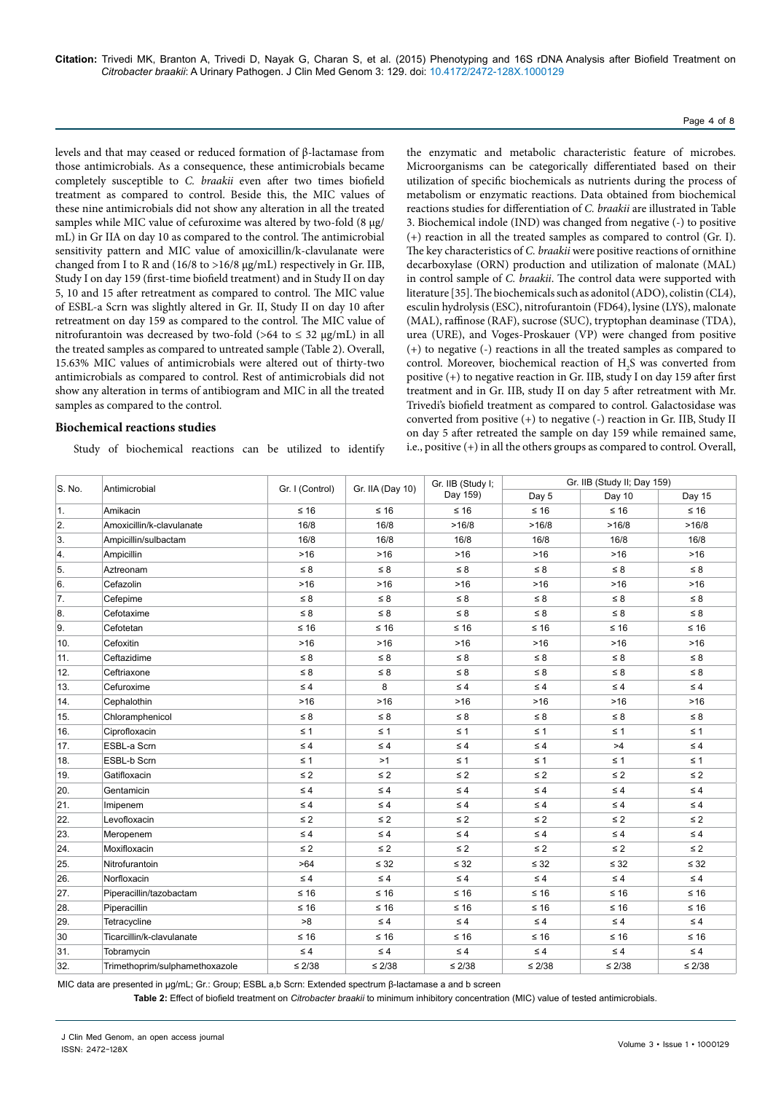#### Page 4 of 8

levels and that may ceased or reduced formation of β-lactamase from those antimicrobials. As a consequence, these antimicrobials became completely susceptible to *C. braakii* even after two times biofield treatment as compared to control. Beside this, the MIC values of these nine antimicrobials did not show any alteration in all the treated samples while MIC value of cefuroxime was altered by two-fold (8 µg/ mL) in Gr IIA on day 10 as compared to the control. The antimicrobial sensitivity pattern and MIC value of amoxicillin/k-clavulanate were changed from I to R and (16/8 to >16/8 µg/mL) respectively in Gr. IIB, Study I on day 159 (first-time biofield treatment) and in Study II on day 5, 10 and 15 after retreatment as compared to control. The MIC value of ESBL-a Scrn was slightly altered in Gr. II, Study II on day 10 after retreatment on day 159 as compared to the control. The MIC value of nitrofurantoin was decreased by two-fold (>64 to  $\leq$  32 µg/mL) in all the treated samples as compared to untreated sample (Table 2). Overall, 15.63% MIC values of antimicrobials were altered out of thirty-two antimicrobials as compared to control. Rest of antimicrobials did not show any alteration in terms of antibiogram and MIC in all the treated samples as compared to the control.

#### **Biochemical reactions studies**

Study of biochemical reactions can be utilized to identify

the enzymatic and metabolic characteristic feature of microbes. Microorganisms can be categorically differentiated based on their utilization of specific biochemicals as nutrients during the process of metabolism or enzymatic reactions. Data obtained from biochemical reactions studies for differentiation of *C. braakii* are illustrated in Table 3. Biochemical indole (IND) was changed from negative (-) to positive (+) reaction in all the treated samples as compared to control (Gr. I). The key characteristics of *C. braakii* were positive reactions of ornithine decarboxylase (ORN) production and utilization of malonate (MAL) in control sample of *C. braakii*. The control data were supported with literature [35]. The biochemicals such as adonitol (ADO), colistin (CL4), esculin hydrolysis (ESC), nitrofurantoin (FD64), lysine (LYS), malonate (MAL), raffinose (RAF), sucrose (SUC), tryptophan deaminase (TDA), urea (URE), and Voges-Proskauer (VP) were changed from positive (+) to negative (-) reactions in all the treated samples as compared to control. Moreover, biochemical reaction of  $H_2S$  was converted from positive  $(+)$  to negative reaction in Gr. IIB, study I on day 159 after first treatment and in Gr. IIB, study II on day 5 after retreatment with Mr. Trivedi's biofield treatment as compared to control. Galactosidase was converted from positive (+) to negative (-) reaction in Gr. IIB, Study II on day 5 after retreated the sample on day 159 while remained same, i.e., positive (+) in all the others groups as compared to control. Overall,

| S. No. | Antimicrobial                  | Gr. I (Control) | Gr. IIA (Day 10) | Gr. IIB (Study I; | Gr. IIB (Study II; Day 159) |             |             |  |  |
|--------|--------------------------------|-----------------|------------------|-------------------|-----------------------------|-------------|-------------|--|--|
|        |                                |                 |                  | Day 159)          | Day 5                       | Day 10      | Day 15      |  |  |
| 1.     | Amikacin                       | $\leq 16$       | $≤ 16$           | $≤ 16$            | $≤ 16$                      | $\leq 16$   | $≤ 16$      |  |  |
| 2.     | Amoxicillin/k-clavulanate      | 16/8            |                  | >16/8             | >16/8                       | >16/8       | >16/8       |  |  |
| 3.     | Ampicillin/sulbactam           | 16/8            | 16/8             | 16/8              | 16/8                        | 16/8        | 16/8        |  |  |
| 4.     | Ampicillin                     | $>16$           | $>16$            | $>16$             | $>16$                       | $>16$       | $>16$       |  |  |
| 5.     | Aztreonam                      | $\leq 8$        | $\leq 8$         | $\leq 8$          | $\leq 8$                    | $\leq 8$    | $\leq 8$    |  |  |
| 6.     | Cefazolin                      | $>16$           | $>16$            | >16               | $>16$                       | $>16$       | $>16$       |  |  |
| 7.     | Cefepime                       | $\leq 8$        | $\leq 8$         | $\leq 8$          | $\leq 8$                    | $\leq 8$    | $\leq 8$    |  |  |
| 8.     | Cefotaxime                     | $\leq 8$        | $\leq 8$         | $\leq 8$          | $\leq 8$                    | $\leq 8$    | $\leq 8$    |  |  |
| 9.     | Cefotetan                      | $\leq 16$       | $≤ 16$           | $\leq 16$         | $\leq 16$                   | $\leq 16$   | $\leq 16$   |  |  |
| 10.    | Cefoxitin                      | $>16$           | $>16$            | $>16$             | $>16$                       | $>16$       | $>16$       |  |  |
| 11.    | Ceftazidime                    | $\leq 8$        | $\leq 8$         | $\leq 8$          | $\leq 8$                    | $\leq 8$    | $\leq 8$    |  |  |
| 12.    | Ceftriaxone                    | $\leq 8$        | $\leq 8$         | $\leq 8$          | $\leq 8$                    | $\leq 8$    | $\leq 8$    |  |  |
| 13.    | Cefuroxime                     | $\leq 4$        | 8                | $\leq 4$          | $\leq 4$                    | $\leq 4$    | $\leq 4$    |  |  |
| 14.    | Cephalothin                    | $>16$           | $>16$            | >16               | $>16$                       | $>16$       | $>16$       |  |  |
| 15.    | Chloramphenicol                | $\leq 8$        | $\leq 8$         | $\leq 8$          | $\leq 8$                    | $\leq 8$    | $\leq 8$    |  |  |
| 16.    | Ciprofloxacin                  | $\leq 1$        | $\leq 1$         | $\leq 1$          | $\leq 1$                    | $\leq 1$    | $\leq 1$    |  |  |
| 17.    | ESBL-a Scrn                    | $\leq 4$        | $\leq 4$         | $\leq 4$          | $\leq 4$                    | >4          | $\leq 4$    |  |  |
| 18.    | ESBL-b Scrn                    | $\leq 1$        | >1               | $\leq 1$          | $\leq 1$                    | $\leq 1$    | $\leq 1$    |  |  |
| 19.    | Gatifloxacin                   | $\leq 2$        | $\leq 2$         | $\leq 2$          | $\leq 2$                    | $\leq 2$    | $\leq 2$    |  |  |
| 20.    | Gentamicin                     | $\leq 4$        | $\leq 4$         | $\leq 4$          | $\leq 4$                    | $\leq 4$    | $\leq 4$    |  |  |
| 21.    | Imipenem                       | $\leq 4$        | $\leq 4$         | $\leq 4$          | $\leq 4$                    | $\leq 4$    | $\leq 4$    |  |  |
| 22.    | Levofloxacin                   | $\leq 2$        | $\leq 2$         | $\leq 2$          | $\leq$ 2                    | $\leq 2$    | $\leq 2$    |  |  |
| 23.    | Meropenem                      | $\leq 4$        | $\leq 4$         | $\leq 4$          | $\leq 4$                    | $\leq 4$    | $\leq 4$    |  |  |
| 24.    | Moxifloxacin                   | $\leq 2$        | $\leq 2$         | $\leq 2$          | $\leq 2$                    | $\leq 2$    | $\leq 2$    |  |  |
| 25.    | Nitrofurantoin                 | >64             | $\leq 32$        | $\leq 32$         | $\leq 32$                   | $\leq 32$   | $\leq 32$   |  |  |
| 26.    | Norfloxacin                    | $\leq 4$        | $\leq 4$         | $\leq 4$          | $\leq 4$                    | $\leq 4$    | $\leq 4$    |  |  |
| 27.    | Piperacillin/tazobactam        | $\leq 16$       | $≤ 16$           | $\leq 16$         | $\leq 16$                   | $\leq 16$   | $\leq 16$   |  |  |
| 28.    | Piperacillin                   | $\leq 16$       | $≤ 16$           | $\leq 16$         | $\leq 16$                   | $\leq 16$   | $≤ 16$      |  |  |
| 29.    | Tetracycline                   | >8              | $\leq 4$         | $\leq 4$          | $\leq 4$                    | $\leq 4$    | $\leq 4$    |  |  |
| 30     | Ticarcillin/k-clavulanate      | $≤ 16$          | $\leq 16$        | $≤ 16$            | $\leq 16$                   | $≤ 16$      | ≤ 16        |  |  |
| 31.    | Tobramycin                     | $\leq 4$        | $\leq 4$         | $\leq 4$          | $\leq 4$                    | $\leq 4$    | $\leq 4$    |  |  |
| 32.    | Trimethoprim/sulphamethoxazole | $\leq 2/38$     | $\leq 2/38$      | $\leq 2/38$       | $\leq 2/38$                 | $\leq 2/38$ | $\leq 2/38$ |  |  |

MIC data are presented in µg/mL; Gr.: Group; ESBL a,b Scrn: Extended spectrum β-lactamase a and b screen

**Table 2:** Effect of biofield treatment on *Citrobacter braakii* to minimum inhibitory concentration (MIC) value of tested antimicrobials.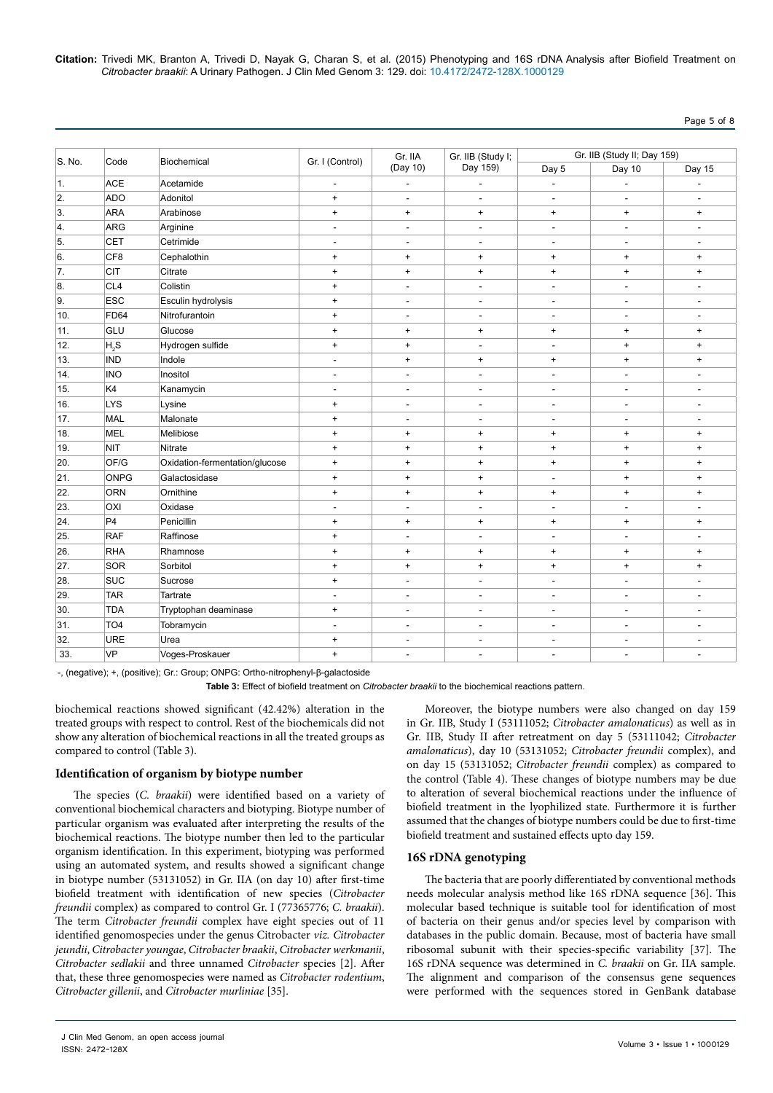**Citation:** Trivedi MK, Branton A, Trivedi D, Nayak G, Charan S, et al. (2015) Phenotyping and 16S rDNA Analysis after Biofield Treatment on *Citrobacter braakii*: A Urinary Pathogen. J Clin Med Genom 3: 129. doi: 10.4172/2472-128X.1000129

| S. No. |                 |                                | Gr. I (Control)                  | Gr. IIA                          | Gr. IIB (Study I;                | Gr. IIB (Study II; Day 159) |                          |                                  |  |
|--------|-----------------|--------------------------------|----------------------------------|----------------------------------|----------------------------------|-----------------------------|--------------------------|----------------------------------|--|
|        | Code            | Biochemical                    |                                  | (Day 10)                         | Day 159)                         | Day 5                       | Day 10                   | Day 15                           |  |
| 1.     | <b>ACE</b>      | Acetamide                      | $\overline{\phantom{a}}$         | $\overline{\phantom{a}}$         | $\overline{a}$                   | $\overline{\phantom{a}}$    | $\overline{\phantom{a}}$ |                                  |  |
| 2.     | <b>ADO</b>      | Adonitol                       | $\pmb{+}$                        | $\blacksquare$                   | $\blacksquare$                   | $\overline{\phantom{a}}$    | $\overline{\phantom{a}}$ | $\overline{a}$                   |  |
| 3.     | <b>ARA</b>      | Arabinose                      | $\begin{array}{c} + \end{array}$ | $\ddot{}$                        | $\ddot{}$                        | $\ddot{}$                   | $\ddot{}$                | $\ddot{}$                        |  |
| 4.     | <b>ARG</b>      | Arginine                       | $\blacksquare$                   | ÷,                               | ÷,                               | $\overline{a}$              | $\overline{a}$           | $\overline{a}$                   |  |
| 5.     | <b>CET</b>      | Cetrimide                      | $\overline{\phantom{a}}$         | $\overline{\phantom{a}}$         | $\overline{\phantom{a}}$         | $\overline{a}$              | $\overline{a}$           | $\overline{a}$                   |  |
| 6.     | CF <sub>8</sub> | Cephalothin                    | $\begin{array}{c} + \end{array}$ | $\begin{array}{c} + \end{array}$ | $\begin{array}{c} + \end{array}$ | $\ddot{}$                   | $\ddot{}$                | $\ddot{}$                        |  |
| 7.     | <b>CIT</b>      | Citrate                        | $\bf{+}$                         | $\bf{+}$                         | $\begin{array}{c} + \end{array}$ | $\ddot{}$                   | $\ddot{}$                | $\begin{array}{c} + \end{array}$ |  |
| 8.     | CL <sub>4</sub> | Colistin                       | $\begin{array}{c} + \end{array}$ | $\overline{\phantom{a}}$         | $\overline{\phantom{a}}$         | $\blacksquare$              | $\blacksquare$           | ٠                                |  |
| 9.     | <b>ESC</b>      | Esculin hydrolysis             | $\begin{array}{c} + \end{array}$ | ÷.                               | ÷.                               | $\overline{a}$              | $\overline{a}$           | $\overline{a}$                   |  |
| 10.    | <b>FD64</b>     | Nitrofurantoin                 | $^{\mathrm{+}}$                  | $\overline{\phantom{a}}$         | $\overline{\phantom{a}}$         | $\overline{\phantom{a}}$    | $\overline{\phantom{a}}$ | $\overline{a}$                   |  |
| 11.    | GLU             | Glucose                        | $\begin{array}{c} + \end{array}$ | $\begin{array}{c} + \end{array}$ | $\begin{array}{c} + \end{array}$ | $\ddot{}$                   | $\ddot{}$                | $\ddot{}$                        |  |
| 12.    | H, S            | Hydrogen sulfide               | $\bf{+}$                         | $\bf{+}$                         | $\overline{\phantom{a}}$         | $\overline{\phantom{a}}$    | $\ddot{}$                | $\ddot{}$                        |  |
| 13.    | <b>IND</b>      | Indole                         | $\overline{a}$                   | $\ddot{}$                        | $\ddot{}$                        | $\ddot{}$                   | $\ddot{}$                | $\begin{array}{c} + \end{array}$ |  |
| 14.    | <b>INO</b>      | Inositol                       | $\overline{\phantom{a}}$         | $\overline{\phantom{a}}$         | $\overline{\phantom{a}}$         | $\overline{\phantom{a}}$    | $\overline{\phantom{a}}$ | $\overline{\phantom{a}}$         |  |
| 15.    | K4              | Kanamycin                      | $\overline{\phantom{a}}$         | $\overline{\phantom{a}}$         | $\overline{\phantom{a}}$         | $\overline{a}$              | $\overline{a}$           | $\overline{\phantom{a}}$         |  |
| 16.    | <b>LYS</b>      | Lysine                         | $\begin{array}{c} + \end{array}$ | $\blacksquare$                   | $\blacksquare$                   | $\overline{\phantom{a}}$    | $\overline{\phantom{a}}$ | $\overline{\phantom{a}}$         |  |
| 17.    | <b>MAL</b>      | Malonate                       | $\bf{+}$                         | $\overline{\phantom{a}}$         | $\overline{\phantom{a}}$         | $\overline{\phantom{a}}$    | $\overline{\phantom{a}}$ |                                  |  |
| 18.    | <b>MEL</b>      | Melibiose                      | $\begin{array}{c} + \end{array}$ | $\begin{array}{c} + \end{array}$ | $\begin{array}{c} + \end{array}$ | $\ddot{}$                   | $\ddot{}$                | $\ddot{}$                        |  |
| 19.    | <b>NIT</b>      | Nitrate                        | $\bf{+}$                         | $\bf{+}$                         | $\bf{+}$                         | $\ddot{}$                   | $\ddot{}$                | $\begin{array}{c} + \end{array}$ |  |
| 20.    | OF/G            | Oxidation-fermentation/glucose | $^{\mathrm{+}}$                  | $\begin{array}{c} + \end{array}$ | $\bf{+}$                         | $\ddot{}$                   | $\ddot{}$                | $\ddot{}$                        |  |
| 21.    | ONPG            | Galactosidase                  | $\begin{array}{c} + \end{array}$ | $\ddot{}$                        | $\begin{array}{c} + \end{array}$ | $\overline{\phantom{a}}$    | $\ddot{}$                | $\ddot{}$                        |  |
| 22.    | <b>ORN</b>      | Ornithine                      | $\bf{+}$                         | $\ddot{}$                        | $\bf{+}$                         | $\ddot{}$                   | $\ddot{}$                | $\ddot{}$                        |  |
| 23.    | OXI             | Oxidase                        | $\blacksquare$                   | ÷,                               | ÷,                               | $\overline{a}$              | $\overline{a}$           | $\overline{\phantom{a}}$         |  |
| 24.    | P <sub>4</sub>  | Penicillin                     | $\bf{+}$                         | $\ddot{}$                        | $\ddot{}$                        | $\ddot{}$                   | $\ddot{}$                | $\begin{array}{c} + \end{array}$ |  |
| 25.    | <b>RAF</b>      | Raffinose                      | $\begin{array}{c} + \end{array}$ | $\overline{a}$                   | $\overline{a}$                   | $\overline{\phantom{a}}$    | $\overline{\phantom{a}}$ | $\overline{\phantom{a}}$         |  |
| 26.    | <b>RHA</b>      | Rhamnose                       | $\ddot{}$                        | $\begin{array}{c} + \end{array}$ | $\begin{array}{c} + \end{array}$ | $\ddot{}$                   | $\ddot{}$                | $\begin{array}{c} + \end{array}$ |  |
| 27.    | SOR             | Sorbitol                       | $\bf{+}$                         | $\begin{array}{c} + \end{array}$ | $\begin{array}{c} + \end{array}$ | $\ddot{}$                   | $\ddot{}$                | $\begin{array}{c} + \end{array}$ |  |
| 28.    | SUC             | Sucrose                        | $\bf{+}$                         | $\overline{\phantom{a}}$         |                                  | $\blacksquare$              | $\blacksquare$           | ٠                                |  |
| 29.    | <b>TAR</b>      | Tartrate                       | $\overline{\phantom{a}}$         | $\overline{\phantom{a}}$         | $\overline{\phantom{a}}$         | $\overline{a}$              | $\overline{a}$           | $\overline{a}$                   |  |
| 30.    | <b>TDA</b>      | Tryptophan deaminase           | $^{\mathrm{+}}$                  | $\overline{\phantom{a}}$         | $\overline{\phantom{a}}$         | $\overline{\phantom{a}}$    | $\overline{\phantom{a}}$ | $\overline{\phantom{a}}$         |  |
| 31.    | TO <sub>4</sub> | Tobramycin                     | $\overline{\phantom{a}}$         | $\blacksquare$                   | $\blacksquare$                   | $\blacksquare$              | $\overline{\phantom{a}}$ | ٠                                |  |
| 32.    | <b>URE</b>      | Urea                           | $\ddot{}$                        | $\overline{\phantom{a}}$         | $\overline{\phantom{a}}$         | $\overline{\phantom{a}}$    | $\overline{\phantom{a}}$ | $\overline{\phantom{a}}$         |  |
| 33.    | VP              | Voges-Proskauer                | $\bf{+}$                         | ÷.                               | ÷.                               | $\overline{a}$              | $\overline{a}$           | $\overline{\phantom{a}}$         |  |

-, (negative); +, (positive); Gr.: Group; ONPG: Ortho-nitrophenyl-β-galactoside

**Table 3:** Effect of biofield treatment on *Citrobacter braakii* to the biochemical reactions pattern.

biochemical reactions showed significant (42.42%) alteration in the treated groups with respect to control. Rest of the biochemicals did not show any alteration of biochemical reactions in all the treated groups as compared to control (Table 3).

#### **Identification of organism by biotype number**

The species (*C. braakii*) were identified based on a variety of conventional biochemical characters and biotyping. Biotype number of particular organism was evaluated after interpreting the results of the biochemical reactions. The biotype number then led to the particular organism identification. In this experiment, biotyping was performed using an automated system, and results showed a significant change in biotype number (53131052) in Gr. IIA (on day 10) after first-time biofield treatment with identification of new species (*Citrobacter freundii* complex) as compared to control Gr. I (77365776; *C. braakii*). The term *Citrobacter freundii* complex have eight species out of 11 identified genomospecies under the genus Citrobacter *viz. Citrobacter jeundii*, *Citrobacter youngae*, *Citrobacter braakii*, *Citrobacter werkmanii*, *Citrobacter sedlakii* and three unnamed *Citrobacter* species [2]. After that, these three genomospecies were named as *Citrobacter rodentium*, *Citrobacter gillenii*, and *Citrobacter murliniae* [35].

Moreover, the biotype numbers were also changed on day 159 in Gr. IIB, Study I (53111052; *Citrobacter amalonaticus*) as well as in Gr. IIB, Study II after retreatment on day 5 (53111042; *Citrobacter amalonaticus*), day 10 (53131052; *Citrobacter freundii* complex), and on day 15 (53131052; *Citrobacter freundii* complex) as compared to the control (Table 4). These changes of biotype numbers may be due to alteration of several biochemical reactions under the influence of biofield treatment in the lyophilized state. Furthermore it is further assumed that the changes of biotype numbers could be due to first-time biofield treatment and sustained effects upto day 159.

#### **16S rDNA genotyping**

The bacteria that are poorly differentiated by conventional methods needs molecular analysis method like 16S rDNA sequence [36]. This molecular based technique is suitable tool for identification of most of bacteria on their genus and/or species level by comparison with databases in the public domain. Because, most of bacteria have small ribosomal subunit with their species-specific variability [37]. The 16S rDNA sequence was determined in *C. braakii* on Gr. IIA sample. The alignment and comparison of the consensus gene sequences were performed with the sequences stored in GenBank database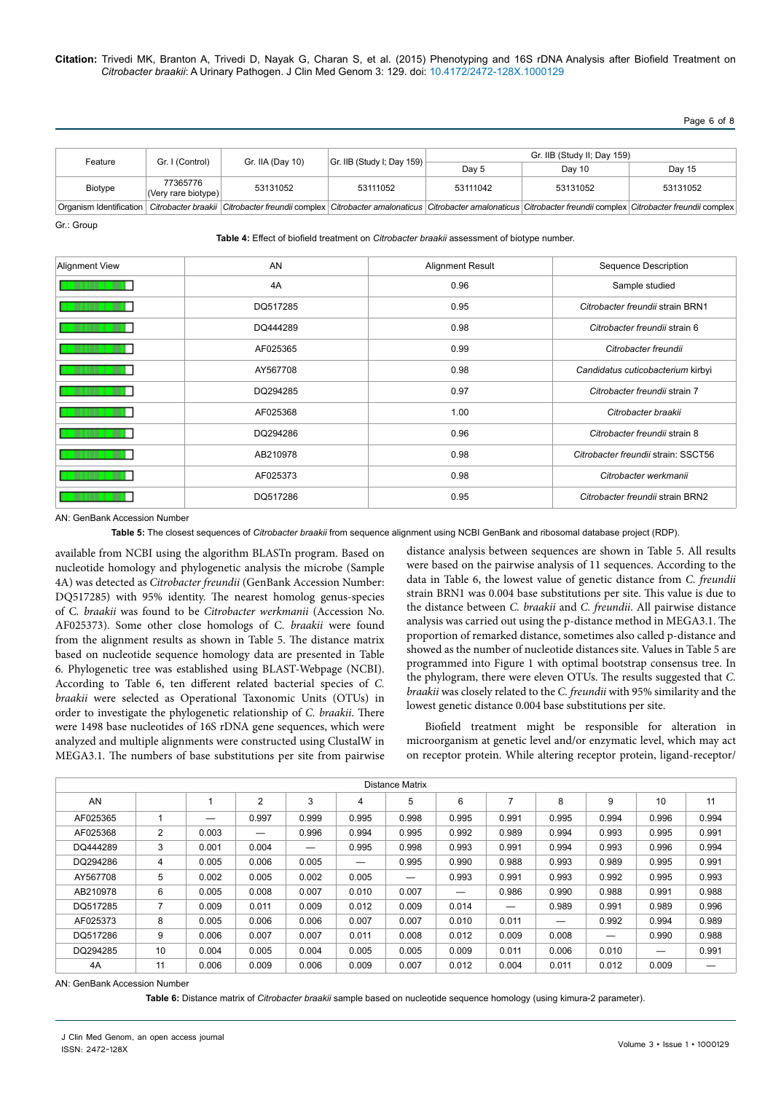Page 6 of 8

| Feature | Gr. I (Control)                 | Gr. IIA (Day 10) | $ Gr.$ IIB (Study I; Day 159) | Gr. IIB (Study II; Day 159) |          |          |  |
|---------|---------------------------------|------------------|-------------------------------|-----------------------------|----------|----------|--|
|         |                                 |                  |                               | Dav 5                       | Day 10   | Day 15   |  |
| Biotype | 77365776<br>(Very rare biotype) | 53131052         | 53111052                      | 53111042                    | 53131052 | 53131052 |  |
|         |                                 |                  |                               |                             |          |          |  |

Organism Identification *Citrobacter braakii Citrobacter freundii* complex *Citrobacter amalonaticus Citrobacter amalonaticus Citrobacter freundii* complex *Citrobacter freundii* complex Gr.: Group

**Table 4:** Effect of biofield treatment on *Citrobacter braakii* assessment of biotype number.

| <b>Alignment View</b> | AN       | <b>Alignment Result</b> | <b>Sequence Description</b>         |
|-----------------------|----------|-------------------------|-------------------------------------|
|                       | 4A       | 0.96                    | Sample studied                      |
|                       | DQ517285 | 0.95                    | Citrobacter freundii strain BRN1    |
|                       | DQ444289 | 0.98                    | Citrobacter freundii strain 6       |
|                       | AF025365 | 0.99                    | Citrobacter freundii                |
|                       | AY567708 | 0.98                    | Candidatus cuticobacterium kirbyi   |
|                       | DQ294285 | 0.97                    | Citrobacter freundii strain 7       |
|                       | AF025368 | 1.00                    | Citrobacter braakii                 |
|                       | DQ294286 | 0.96                    | Citrobacter freundii strain 8       |
|                       | AB210978 | 0.98                    | Citrobacter freundii strain: SSCT56 |
|                       | AF025373 | 0.98                    | Citrobacter werkmanii               |
|                       | DQ517286 | 0.95                    | Citrobacter freundii strain BRN2    |

AN: GenBank Accession Number

**Table 5:** The closest sequences of *Citrobacter braakii* from sequence alignment using NCBI GenBank and ribosomal database project (RDP).

available from NCBI using the algorithm BLASTn program. Based on nucleotide homology and phylogenetic analysis the microbe (Sample 4A) was detected as *Citrobacter freundii* (GenBank Accession Number: DQ517285) with 95% identity. The nearest homolog genus-species of C*. braakii* was found to be *Citrobacter werkmanii* (Accession No. AF025373). Some other close homologs of C*. braakii* were found from the alignment results as shown in Table 5. The distance matrix based on nucleotide sequence homology data are presented in Table 6. Phylogenetic tree was established using BLAST-Webpage (NCBI). According to Table 6, ten different related bacterial species of *C. braakii* were selected as Operational Taxonomic Units (OTUs) in order to investigate the phylogenetic relationship of *C. braakii*. There were 1498 base nucleotides of 16S rDNA gene sequences, which were analyzed and multiple alignments were constructed using ClustalW in MEGA3.1. The numbers of base substitutions per site from pairwise distance analysis between sequences are shown in Table 5. All results were based on the pairwise analysis of 11 sequences. According to the data in Table 6, the lowest value of genetic distance from *C. freundii*  strain BRN1 was 0.004 base substitutions per site. This value is due to the distance between *C. braakii* and *C. freundii*. All pairwise distance analysis was carried out using the p-distance method in MEGA3.1. The proportion of remarked distance, sometimes also called p-distance and showed as the number of nucleotide distances site. Values in Table 5 are programmed into Figure 1 with optimal bootstrap consensus tree. In the phylogram, there were eleven OTUs. The results suggested that *C. braakii* was closely related to the *C. freundii* with 95% similarity and the lowest genetic distance 0.004 base substitutions per site.

Biofield treatment might be responsible for alteration in microorganism at genetic level and/or enzymatic level, which may act on receptor protein. While altering receptor protein, ligand-receptor/

| Distance Matrix |                |       |                |       |       |       |       |                          |                                 |       |       |       |
|-----------------|----------------|-------|----------------|-------|-------|-------|-------|--------------------------|---------------------------------|-------|-------|-------|
| AN              |                |       | $\overline{2}$ | 3     | 4     | 5     | 6     |                          | 8                               | 9     | 10    | 11    |
| AF025365        |                |       | 0.997          | 0.999 | 0.995 | 0.998 | 0.995 | 0.991                    | 0.995                           | 0.994 | 0.996 | 0.994 |
| AF025368        | $\overline{2}$ | 0.003 |                | 0.996 | 0.994 | 0.995 | 0.992 | 0.989                    | 0.994                           | 0.993 | 0.995 | 0.991 |
| DQ444289        | 3              | 0.001 | 0.004          |       | 0.995 | 0.998 | 0.993 | 0.991                    | 0.994                           | 0.993 | 0.996 | 0.994 |
| DQ294286        | 4              | 0.005 | 0.006          | 0.005 |       | 0.995 | 0.990 | 0.988                    | 0.993                           | 0.989 | 0.995 | 0.991 |
| AY567708        | 5              | 0.002 | 0.005          | 0.002 | 0.005 | —     | 0.993 | 0.991                    | 0.993                           | 0.992 | 0.995 | 0.993 |
| AB210978        | 6              | 0.005 | 0.008          | 0.007 | 0.010 | 0.007 |       | 0.986                    | 0.990                           | 0.988 | 0.991 | 0.988 |
| DQ517285        | 7              | 0.009 | 0.011          | 0.009 | 0.012 | 0.009 | 0.014 | $\overline{\phantom{0}}$ | 0.989                           | 0.991 | 0.989 | 0.996 |
| AF025373        | 8              | 0.005 | 0.006          | 0.006 | 0.007 | 0.007 | 0.010 | 0.011                    | $\hspace{0.1mm}-\hspace{0.1mm}$ | 0.992 | 0.994 | 0.989 |
| DQ517286        | 9              | 0.006 | 0.007          | 0.007 | 0.011 | 0.008 | 0.012 | 0.009                    | 0.008                           |       | 0.990 | 0.988 |
| DQ294285        | 10             | 0.004 | 0.005          | 0.004 | 0.005 | 0.005 | 0.009 | 0.011                    | 0.006                           | 0.010 |       | 0.991 |
| 4A              | 11             | 0.006 | 0.009          | 0.006 | 0.009 | 0.007 | 0.012 | 0.004                    | 0.011                           | 0.012 | 0.009 |       |

AN: GenBank Accession Number

**Table 6:** Distance matrix of *Citrobacter braakii* sample based on nucleotide sequence homology (using kimura-2 parameter).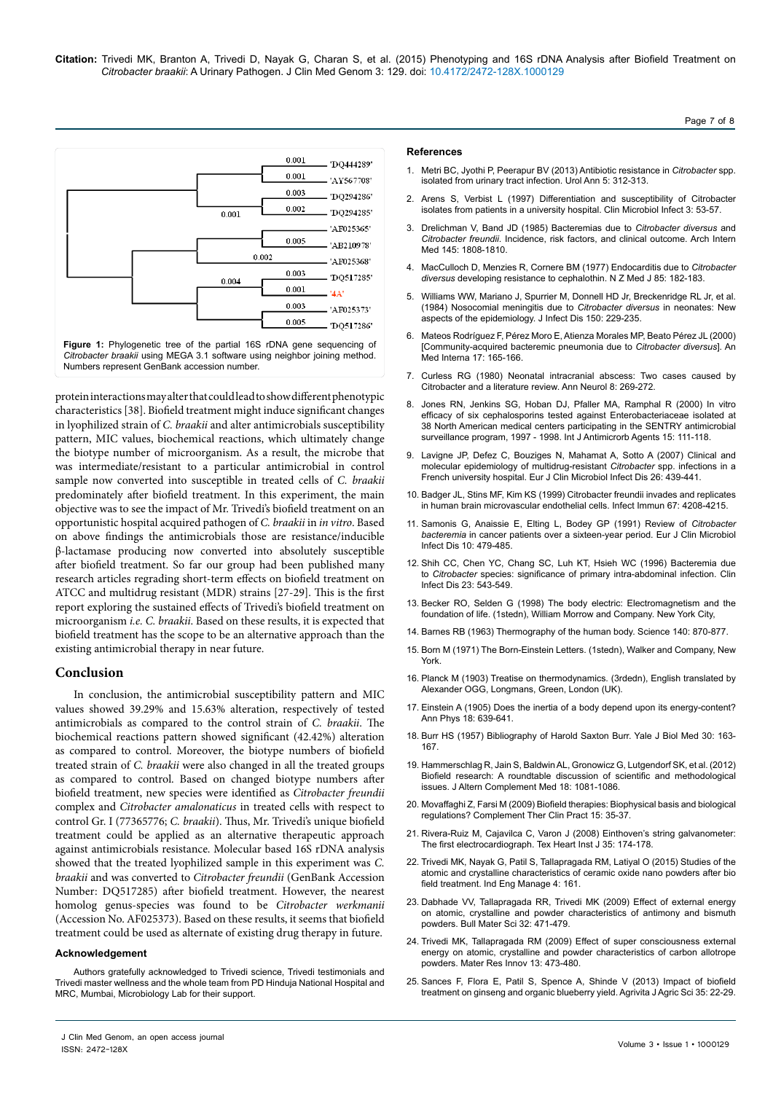

protein interactions may alter that could lead to show different phenotypic characteristics [38]. Biofield treatment might induce significant changes in lyophilized strain of *C. braakii* and alter antimicrobials susceptibility pattern, MIC values, biochemical reactions, which ultimately change the biotype number of microorganism. As a result, the microbe that was intermediate/resistant to a particular antimicrobial in control sample now converted into susceptible in treated cells of *C. braakii* predominately after biofield treatment. In this experiment, the main objective was to see the impact of Mr. Trivedi's biofield treatment on an opportunistic hospital acquired pathogen of *C. braakii* in *in vitro*. Based on above findings the antimicrobials those are resistance/inducible β-lactamase producing now converted into absolutely susceptible after biofield treatment. So far our group had been published many research articles regrading short-term effects on biofield treatment on ATCC and multidrug resistant (MDR) strains [27-29]. This is the first report exploring the sustained effects of Trivedi's biofield treatment on microorganism *i.e. C. braakii*. Based on these results, it is expected that biofield treatment has the scope to be an alternative approach than the existing antimicrobial therapy in near future.

#### **Conclusion**

In conclusion, the antimicrobial susceptibility pattern and MIC values showed 39.29% and 15.63% alteration, respectively of tested antimicrobials as compared to the control strain of *C. braakii*. The biochemical reactions pattern showed significant (42.42%) alteration as compared to control. Moreover, the biotype numbers of biofield treated strain of *C. braakii* were also changed in all the treated groups as compared to control. Based on changed biotype numbers after biofield treatment, new species were identified as *Citrobacter freundii* complex and *Citrobacter amalonaticus* in treated cells with respect to control Gr. I (77365776; *C. braakii*). Thus, Mr. Trivedi's unique biofield treatment could be applied as an alternative therapeutic approach against antimicrobials resistance. Molecular based 16S rDNA analysis showed that the treated lyophilized sample in this experiment was *C. braakii* and was converted to *Citrobacter freundii* (GenBank Accession Number: DQ517285) after biofield treatment. However, the nearest homolog genus-species was found to be *Citrobacter werkmanii*  (Accession No. AF025373). Based on these results, it seems that biofield treatment could be used as alternate of existing drug therapy in future.

#### **Acknowledgement**

Authors gratefully acknowledged to Trivedi science, Trivedi testimonials and Trivedi master wellness and the whole team from PD Hinduja National Hospital and MRC, Mumbai, Microbiology Lab for their support.

#### **References**

- 1. [Metri BC, Jyothi P, Peerapur BV \(2013\) Antibiotic resistance in](http://www.ncbi.nlm.nih.gov/pubmed/24311921) *Citrobacter* spp. [isolated from urinary tract infection. Urol Ann 5: 312-313.](http://www.ncbi.nlm.nih.gov/pubmed/24311921)
- 2. [Arens S, Verbist L \(1997\) Differentiation and susceptibility of Citrobacter](http://www.ncbi.nlm.nih.gov/pubmed/11864076)  [isolates from patients in a university hospital. Clin Microbiol Infect 3: 53-57.](http://www.ncbi.nlm.nih.gov/pubmed/11864076)
- 3. [Drelichman V, Band JD \(1985\) Bacteremias due to](http://www.ncbi.nlm.nih.gov/pubmed/3899035) *Citrobacter diversus* and *Citrobacter freundii*[. Incidence, risk factors, and clinical outcome. Arch Intern](http://www.ncbi.nlm.nih.gov/pubmed/3899035)  [Med 145: 1808-1810.](http://www.ncbi.nlm.nih.gov/pubmed/3899035)
- 4. [MacCulloch D, Menzies R, Cornere BM \(1977\) Endocarditis due to](http://www.ncbi.nlm.nih.gov/pubmed/266661) *Citrobacter diversus* [developing resistance to cephalothin. N Z Med J 85: 182-183.](http://www.ncbi.nlm.nih.gov/pubmed/266661)
- 5. [Williams WW, Mariano J, Spurrier M, Donnell HD Jr, Breckenridge RL Jr, et al.](http://www.ncbi.nlm.nih.gov/pubmed/6470529)  [\(1984\) Nosocomial meningitis due to](http://www.ncbi.nlm.nih.gov/pubmed/6470529) *Citrobacter diversus* in neonates: New [aspects of the epidemiology. J Infect Dis 150: 229-235.](http://www.ncbi.nlm.nih.gov/pubmed/6470529)
- 6. [Mateos Rodríguez F, Pérez Moro E, Atienza Morales MP, Beato Pérez JL \(2000\)](http://www.ncbi.nlm.nih.gov/pubmed/10804650)  [\[Community-acquired bacteremic pneumonia due to](http://www.ncbi.nlm.nih.gov/pubmed/10804650) *Citrobacter diversus*]. An [Med Interna 17: 165-166.](http://www.ncbi.nlm.nih.gov/pubmed/10804650)
- 7. [Curless RG \(1980\) Neonatal intracranial abscess: Two cases caused by](http://www.ncbi.nlm.nih.gov/pubmed/7436370)  [Citrobacter and a literature review. Ann Neurol 8: 269-272.](http://www.ncbi.nlm.nih.gov/pubmed/7436370)
- 8. Jones RN, Jenkins SG, Hoban DJ, Pfaller MA, Ramphal R (2000) In vitro efficacy of six cephalosporins tested against Enterobacteriaceae isolated at 38 North American medical centers participating in the SENTRY antimicrobial surveillance program, 1997 - 1998. Int J Antimicrorb Agents 15: 111-118.
- 9. [Lavigne JP, Defez C, Bouziges N, Mahamat A, Sotto A \(2007\) Clinical and](http://www.ncbi.nlm.nih.gov/pubmed/17516102)  [molecular epidemiology of multidrug-resistant](http://www.ncbi.nlm.nih.gov/pubmed/17516102) *Citrobacter* spp. infections in a [French university hospital. Eur J Clin Microbiol Infect Dis 26: 439-441.](http://www.ncbi.nlm.nih.gov/pubmed/17516102)
- 10. [Badger JL, Stins MF, Kim KS \(1999\) Citrobacter freundii invades and replicates](http://www.ncbi.nlm.nih.gov/pubmed/10417193)  [in human brain microvascular endothelial cells. Infect Immun 67: 4208-4215.](http://www.ncbi.nlm.nih.gov/pubmed/10417193)
- 11. [Samonis G, Anaissie E, Elting L, Bodey GP \(1991\) Review of](http://www.ncbi.nlm.nih.gov/pubmed/1915382) *Citrobacter bacteremia* [in cancer patients over a sixteen-year period. Eur J Clin Microbiol](http://www.ncbi.nlm.nih.gov/pubmed/1915382)  [Infect Dis 10: 479-485.](http://www.ncbi.nlm.nih.gov/pubmed/1915382)
- 12. [Shih CC, Chen YC, Chang SC, Luh KT, Hsieh WC \(1996\) Bacteremia due](http://www.ncbi.nlm.nih.gov/pubmed/8879778)  to *Citrobacter* [species: significance of primary intra-abdominal infection. Clin](http://www.ncbi.nlm.nih.gov/pubmed/8879778)  [Infect Dis 23: 543-549.](http://www.ncbi.nlm.nih.gov/pubmed/8879778)
- 13. Becker RO, Selden G (1998) The body electric: Electromagnetism and the foundation of life. (1stedn), William Morrow and Company. New York City,
- 14. [Barnes RB \(1963\) Thermography of the human body. Science 140: 870-877.](http://www.ncbi.nlm.nih.gov/pubmed/13969373)
- 15. Born M (1971) The Born-Einstein Letters. (1stedn), Walker and Company, New York.
- 16. Planck M (1903) Treatise on thermodynamics. (3rdedn), English translated by Alexander OGG, Longmans, Green, London (UK).
- 17. Einstein A (1905) Does the inertia of a body depend upon its energy-content? Ann Phys 18: 639-641.
- 18. Burr HS (1957) Bibliography of Harold Saxton Burr. Yale J Biol Med 30: 163- 167.
- 19. [Hammerschlag R, Jain S, Baldwin AL, Gronowicz G, Lutgendorf SK, et al. \(2012\)](http://www.ncbi.nlm.nih.gov/pubmed/23075412)  [Biofield research: A roundtable discussion of scientific and methodological](http://www.ncbi.nlm.nih.gov/pubmed/23075412)  [issues. J Altern Complement Med 18: 1081-1086.](http://www.ncbi.nlm.nih.gov/pubmed/23075412)
- 20. [Movaffaghi Z, Farsi M \(2009\) Biofield therapies: Biophysical basis and biological](http://www.ncbi.nlm.nih.gov/pubmed/19161953)  [regulations? Complement Ther Clin Pract 15: 35-37.](http://www.ncbi.nlm.nih.gov/pubmed/19161953)
- 21. Rivera-Ruiz M, Cajavilca C, Varon J (2008) Einthoven's string galvanometer: The first electrocardiograph. Tex Heart Inst J 35: 174-178.
- 22. Trivedi MK, Nayak G, Patil S, Tallapragada RM, Latiyal O (2015) Studies of the atomic and crystalline characteristics of ceramic oxide nano powders after bio field treatment. Ind Eng Manage 4: 161.
- 23. Dabhade VV, Tallapragada RR, Trivedi MK (2009) Effect of external energy on atomic, crystalline and powder characteristics of antimony and bismuth powders. Bull Mater Sci 32: 471-479.
- 24. Trivedi MK, Tallapragada RM (2009) Effect of super consciousness external energy on atomic, crystalline and powder characteristics of carbon allotrope powders. Mater Res Innov 13: 473-480.
- 25. Sances F, Flora E, Patil S, Spence A, Shinde V (2013) Impact of biofield treatment on ginseng and organic blueberry yield. Agrivita J Agric Sci 35: 22-29.